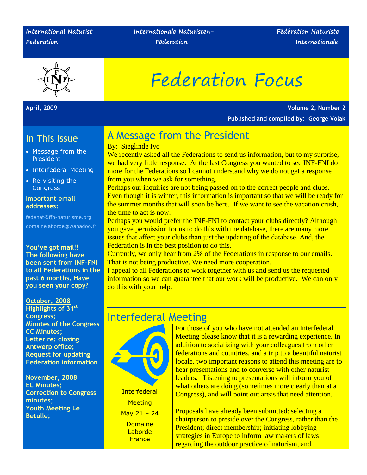#### **International Naturist Federation**

 **Internationale Naturisten- Fédération Naturiste** 

 **Föderation Internationale**



# Federation Focus

**April, 2009 Volume 2, Number 2 Published and compiled by: George Volak**

### In This Issue

- Message from the President
- Interfederal Meeting
- Re-visiting the **Congress**

#### **Important email addresses:**

fedenat@ffn-naturisme.org domainelaborde@wanadoo.fr

**You've got mail!! The following have been sent from INF-FNI to all Federations in the past 6 months. Have you seen your copy?**

**October, 2008 Highlights of 31st Congress; Minutes of the Congress CC Minutes; Letter re: closing Antwerp office; Request for updating Federation information**

**November, 2008 EC Minutes; Correction to Congress minutes; Youth Meeting Le Betulle;**

# A Message from the President

#### By: Sieglinde Ivo

We recently asked all the Federations to send us information, but to my surprise, we had very little response. At the last Congress you wanted to see INF-FNI do more for the Federations so I cannot understand why we do not get a response from you when we ask for something.

Perhaps our inquiries are not being passed on to the correct people and clubs. Even though it is winter, this information is important so that we will be ready for the summer months that will soon be here. If we want to see the vacation crush, the time to act is now.

Perhaps you would prefer the INF-FNI to contact your clubs directly? Although you gave permission for us to do this with the database, there are many more issues that affect your clubs than just the updating of the database. And, the Federation is in the best position to do this.

Currently, we only hear from 2% of the Federations in response to our emails. That is not being productive. We need more cooperation.

I appeal to all Federations to work together with us and send us the requested information so we can guarantee that our work will be productive. We can only do this with your help.

# Interfederal Meeting



**Interfederal Meeting** May 21 – 24 **Domaine** Laborde **France** 

For those of you who have not attended an Interfederal Meeting please know that it is a rewarding experience. In addition to socializing with your colleagues from other federations and countries, and a trip to a beautiful naturist locale, two important reasons to attend this meeting are to hear presentations and to converse with other naturist leaders. Listening to presentations will inform you of what others are doing (sometimes more clearly than at a Congress), and will point out areas that need attention.

Proposals have already been submitted: selecting a chairperson to preside over the Congress, rather than the President; direct membership; initiating lobbying strategies in Europe to inform law makers of laws regarding the outdoor practice of naturism, and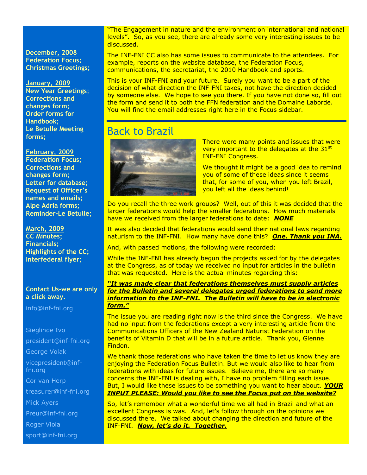**December, 2008 Federation Focus; Christmas Greetings;**

#### **January, 2009**

**New Year Greetings**; **Corrections and changes form; Order forms for Handbook; Le Betulle Meeting forms;**

#### **February, 2009**

**Federation Focus; Corrections and changes form; Letter for database; Request of Officer's names and emails; Alpe Adria forms; Reminder-Le Betulle;**

**March, 2009 CC Minutes; Financials; Highlights of the CC; Interfederal flyer;**

#### **Contact Us-we are only a click away.**

[info@inf-fni.org](mailto:info@inf-fni.org)

# Sieglinde Ivo

[president@inf-fni.org](mailto:president@inf-fni.org)

George Volak

[vicepresident@inf](mailto:vicepresident@inf-fni.org)[fni.org](mailto:vicepresident@inf-fni.org)

Cor van Herp

[treasurer@inf-fni.org](mailto:treasurer@inf-fni.org)

Mick Ayers

[Preur@inf-fni.org](mailto:Preur@inf-fni.org)

Roger Viola

[sport@inf-fni.org](mailto:sport@inf-fni.org)

"The Engagement in nature and the environment on international and national levels". So, as you see, there are already some very interesting issues to be discussed.

The INF-FNI CC also has some issues to communicate to the attendees. For example, reports on the website database, the Federation Focus, communications, the secretariat, the 2010 Handbook and sports.

This is your INF-FNI and your future. Surely you want to be a part of the decision of what direction the INF-FNI takes, not have the direction decided by someone else. We hope to see you there. If you have not done so, fill out the form and send it to both the FFN federation and the Domaine Laborde. You will find the email addresses right here in the Focus sidebar.

# Back to Brazil



There were many points and issues that were very important to the delegates at the  $31<sup>st</sup>$ INF-FNI Congress.

We thought it might be a good idea to remind you of some of these ideas since it seems that, for some of you, when you left Brazil, you left all the ideas behind!

Do you recall the three work groups? Well, out of this it was decided that the larger federations would help the smaller federations. How much materials have we received from the larger federations to date: *NONE*

It was also decided that federations would send their national laws regarding naturism to the INF-FNI. How many have done this? *One. Thank you INA.*

And, with passed motions, the following were recorded:

While the INF-FNI has already begun the projects asked for by the delegates at the Congress, as of today we received no input for articles in the bulletin that was requested. Here is the actual minutes regarding this:

#### *"It was made clear that federations themselves must supply articles for the Bulletin and several delegates urged federations to send more information to the INF-FNI. The Bulletin will have to be in electronic form."*

The issue you are reading right now is the third since the Congress. We have had no input from the federations except a very interesting article from the Communications Officers of the New Zealand Naturist Federation on the benefits of Vitamin D that will be in a future article. Thank you, Glenne Findon.

We thank those federations who have taken the time to let us know they are enjoying the Federation Focus Bulletin. But we would also like to hear from federations with ideas for future issues. Believe me, there are so many concerns the INF-FNI is dealing with, I have no problem filling each issue. But, I would like these issues to be something you want to hear about. *YOUR INPUT PLEASE: Would you like to see the Focus put on the website?*

So, let's remember what a wonderful time we all had in Brazil and what an excellent Congress is was. And, let's follow through on the opinions we discussed there. We talked about changing the direction and future of the INF-FNI. *Now, let's do it. Together.*